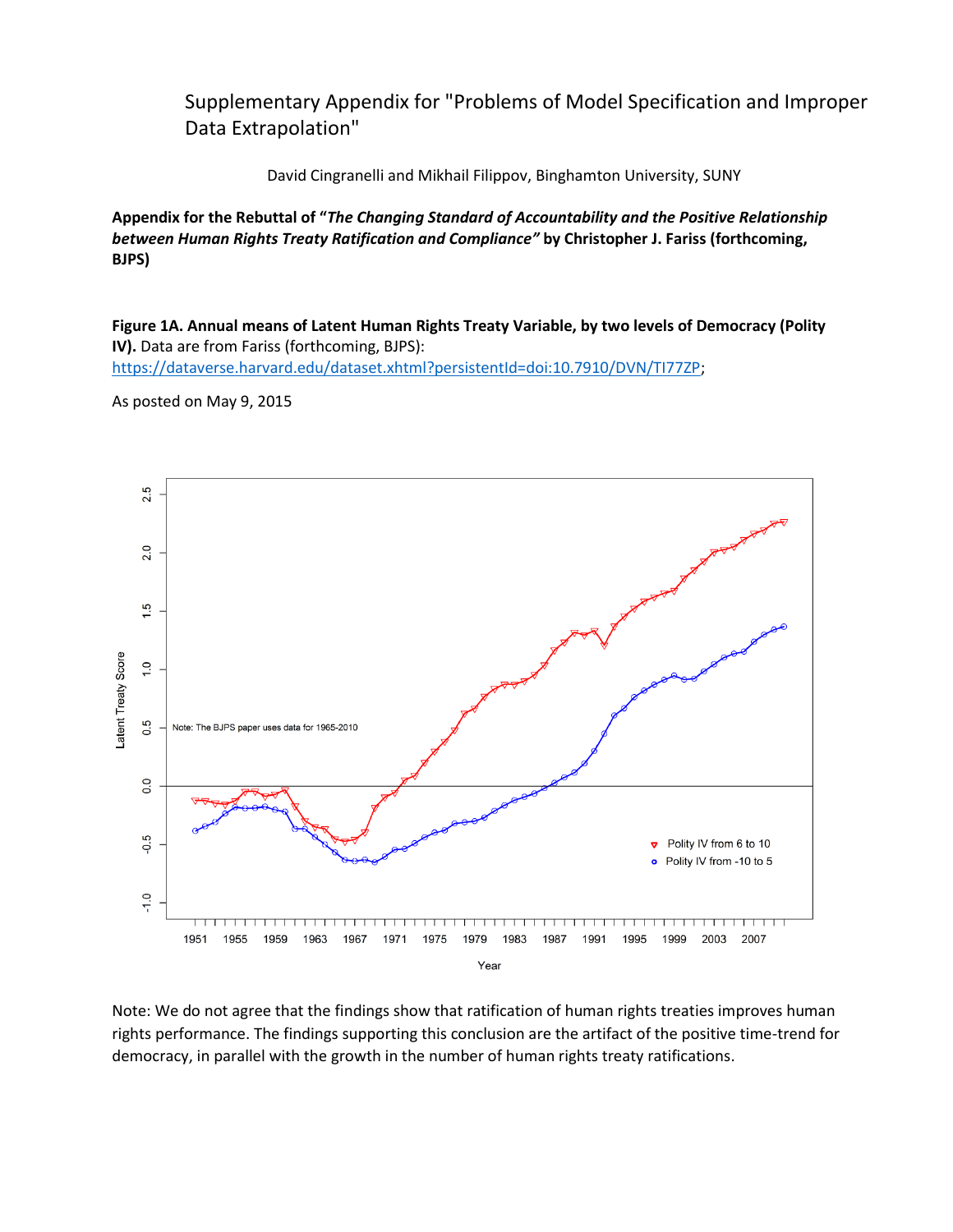Supplementary Appendix for "Problems of Model Specification and Improper Data Extrapolation"

David Cingranelli and Mikhail Filippov, Binghamton University, SUNY

**Appendix for the Rebuttal of "***The Changing Standard of Accountability and the Positive Relationship between Human Rights Treaty Ratification and Compliance"* **by Christopher J. Fariss (forthcoming, BJPS)** 

**Figure 1A. Annual means of Latent Human Rights Treaty Variable, by two levels of Democracy (Polity IV).** Data are from Fariss (forthcoming, BJPS): [https://dataverse.harvard.edu/dataset.xhtml?persistentId=doi:10.7910/DVN/TI77ZP;](https://dataverse.harvard.edu/dataset.xhtml?persistentId=doi:10.7910/DVN/TI77ZP)

As posted on May 9, 2015



Note: We do not agree that the findings show that ratification of human rights treaties improves human rights performance. The findings supporting this conclusion are the artifact of the positive time-trend for democracy, in parallel with the growth in the number of human rights treaty ratifications.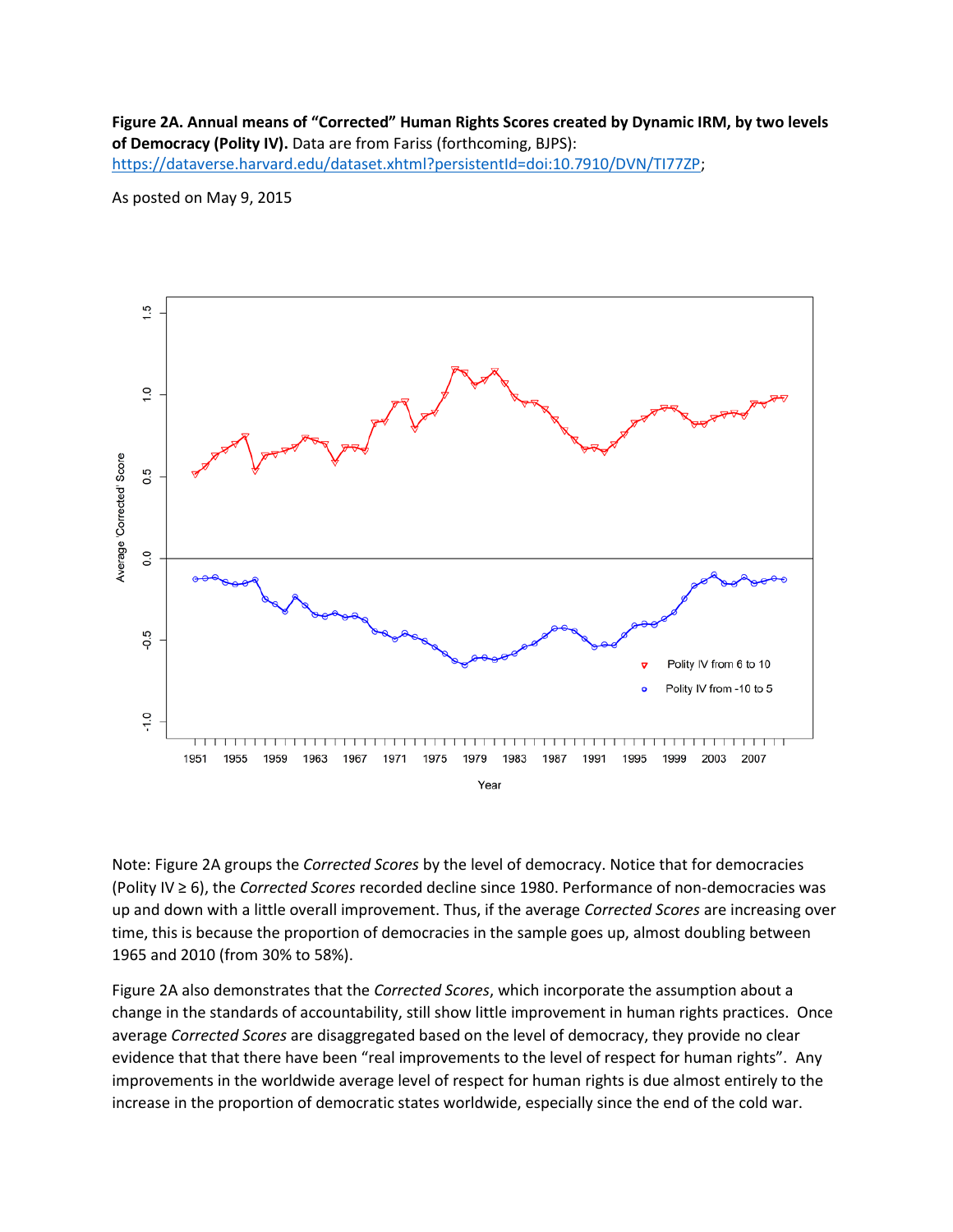**Figure 2A. Annual means of "Corrected" Human Rights Scores created by Dynamic IRM, by two levels of Democracy (Polity IV).** Data are from Fariss (forthcoming, BJPS): [https://dataverse.harvard.edu/dataset.xhtml?persistentId=doi:10.7910/DVN/TI77ZP;](https://dataverse.harvard.edu/dataset.xhtml?persistentId=doi:10.7910/DVN/TI77ZP)

As posted on May 9, 2015



Note: Figure 2A groups the *Corrected Scores* by the level of democracy. Notice that for democracies (Polity IV ≥ 6), the *Corrected Scores* recorded decline since 1980. Performance of non-democracies was up and down with a little overall improvement. Thus, if the average *Corrected Scores* are increasing over time, this is because the proportion of democracies in the sample goes up, almost doubling between 1965 and 2010 (from 30% to 58%).

Figure 2A also demonstrates that the *Corrected Scores*, which incorporate the assumption about a change in the standards of accountability, still show little improvement in human rights practices. Once average *Corrected Scores* are disaggregated based on the level of democracy, they provide no clear evidence that that there have been "real improvements to the level of respect for human rights". Any improvements in the worldwide average level of respect for human rights is due almost entirely to the increase in the proportion of democratic states worldwide, especially since the end of the cold war.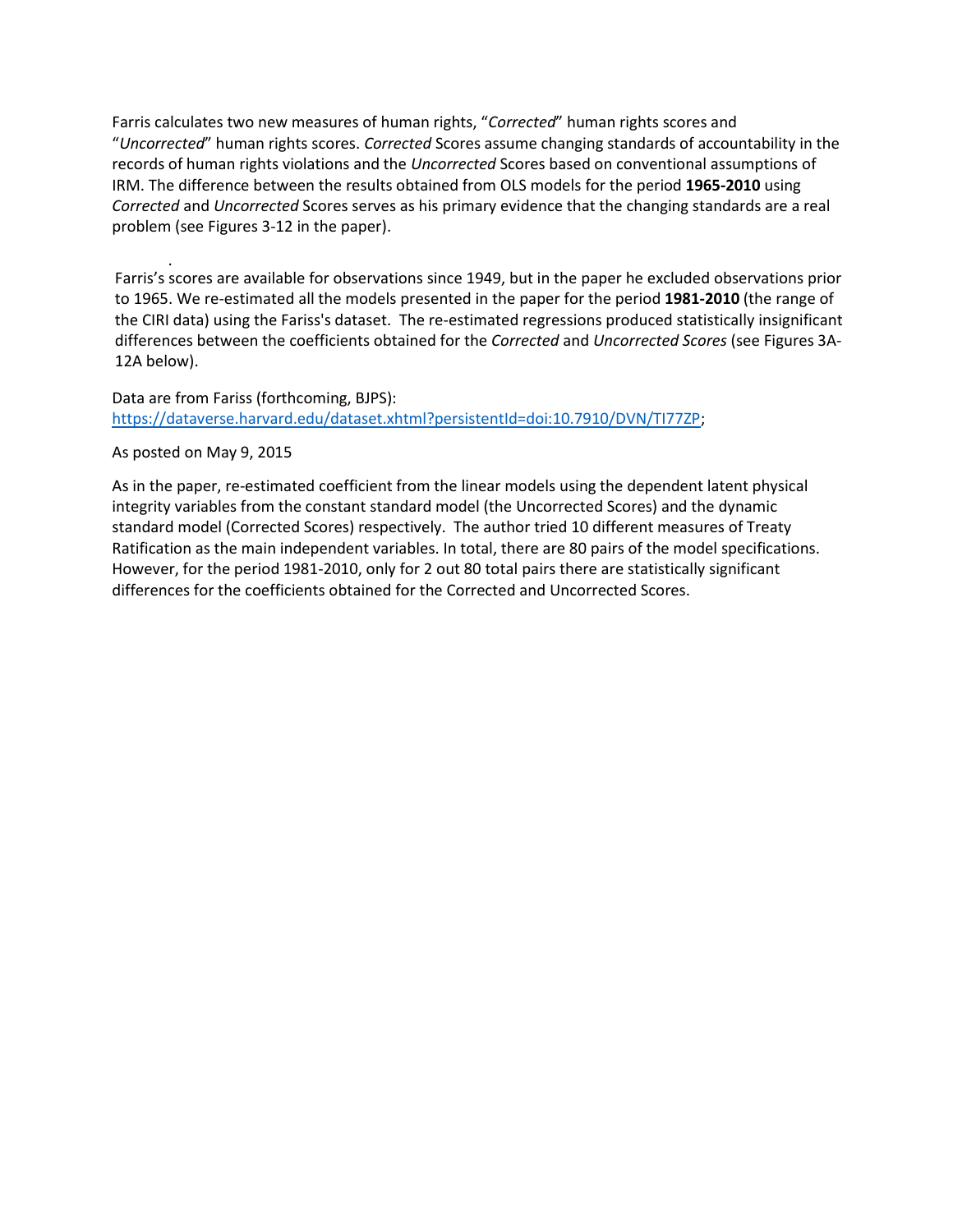Farris calculates two new measures of human rights, "*Corrected*" human rights scores and "*Uncorrected*" human rights scores. *Corrected* Scores assume changing standards of accountability in the records of human rights violations and the *Uncorrected* Scores based on conventional assumptions of IRM. The difference between the results obtained from OLS models for the period **1965-2010** using *Corrected* and *Uncorrected* Scores serves as his primary evidence that the changing standards are a real problem (see Figures 3-12 in the paper).

. Farris's scores are available for observations since 1949, but in the paper he excluded observations prior to 1965. We re-estimated all the models presented in the paper for the period **1981-2010** (the range of the CIRI data) using the Fariss's dataset. The re-estimated regressions produced statistically insignificant differences between the coefficients obtained for the *Corrected* and *Uncorrected Scores* (see Figures 3A-12A below).

Data are from Fariss (forthcoming, BJPS): [https://dataverse.harvard.edu/dataset.xhtml?persistentId=doi:10.7910/DVN/TI77ZP;](https://dataverse.harvard.edu/dataset.xhtml?persistentId=doi:10.7910/DVN/TI77ZP)

#### As posted on May 9, 2015

As in the paper, re-estimated coefficient from the linear models using the dependent latent physical integrity variables from the constant standard model (the Uncorrected Scores) and the dynamic standard model (Corrected Scores) respectively. The author tried 10 different measures of Treaty Ratification as the main independent variables. In total, there are 80 pairs of the model specifications. However, for the period 1981-2010, only for 2 out 80 total pairs there are statistically significant differences for the coefficients obtained for the Corrected and Uncorrected Scores.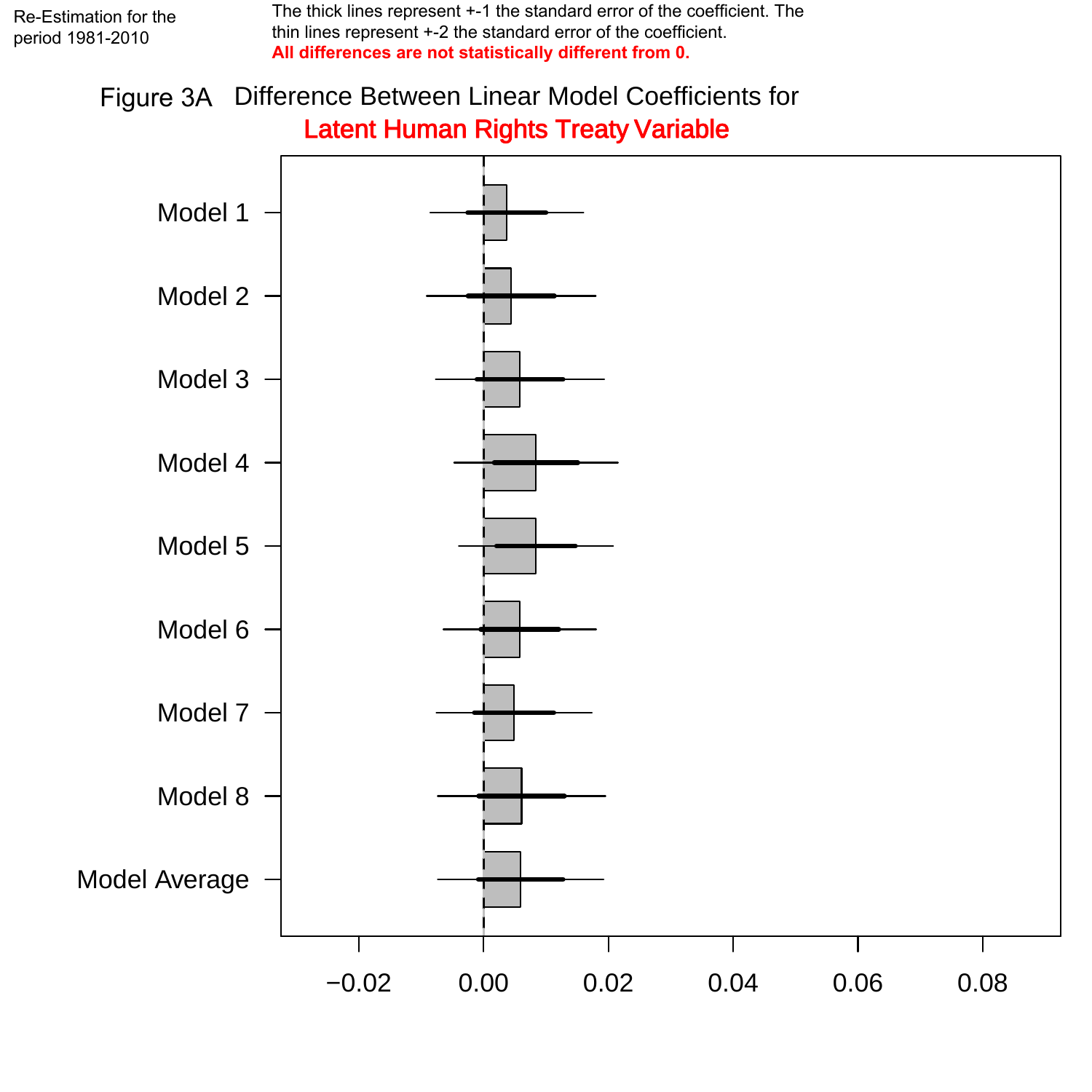The thick lines represent +-1 the standard error of the coefficient. The thin lines represent +-2 the standard error of the coefficient. **All differences are not statistically different from 0.** 

## Figure 3A Difference Between Linear Model Coefficients for Latent Human Rights Treaty Variable

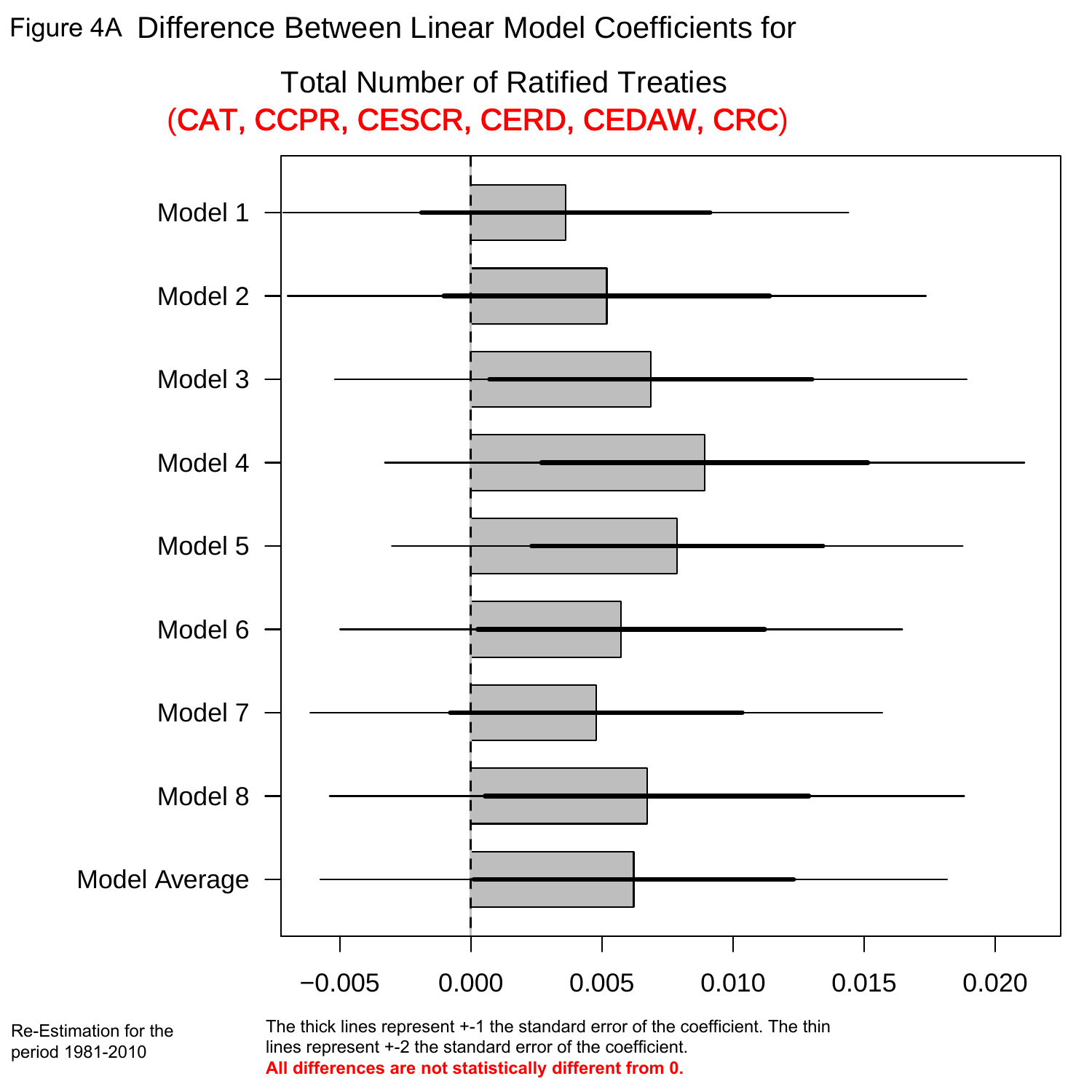Figure 4A Difference Between Linear Model Coefficients for



Re-Estimation for the period 1981-2010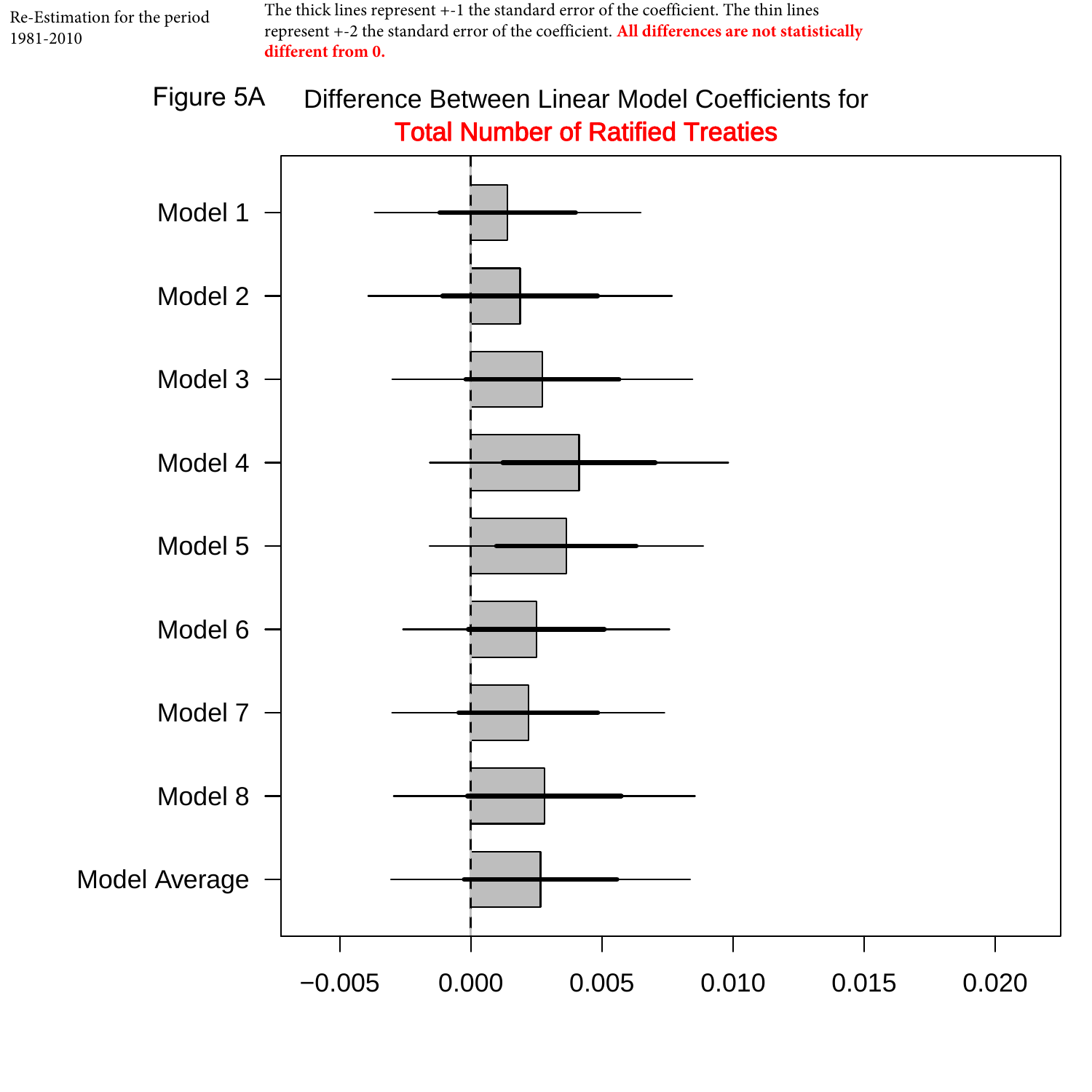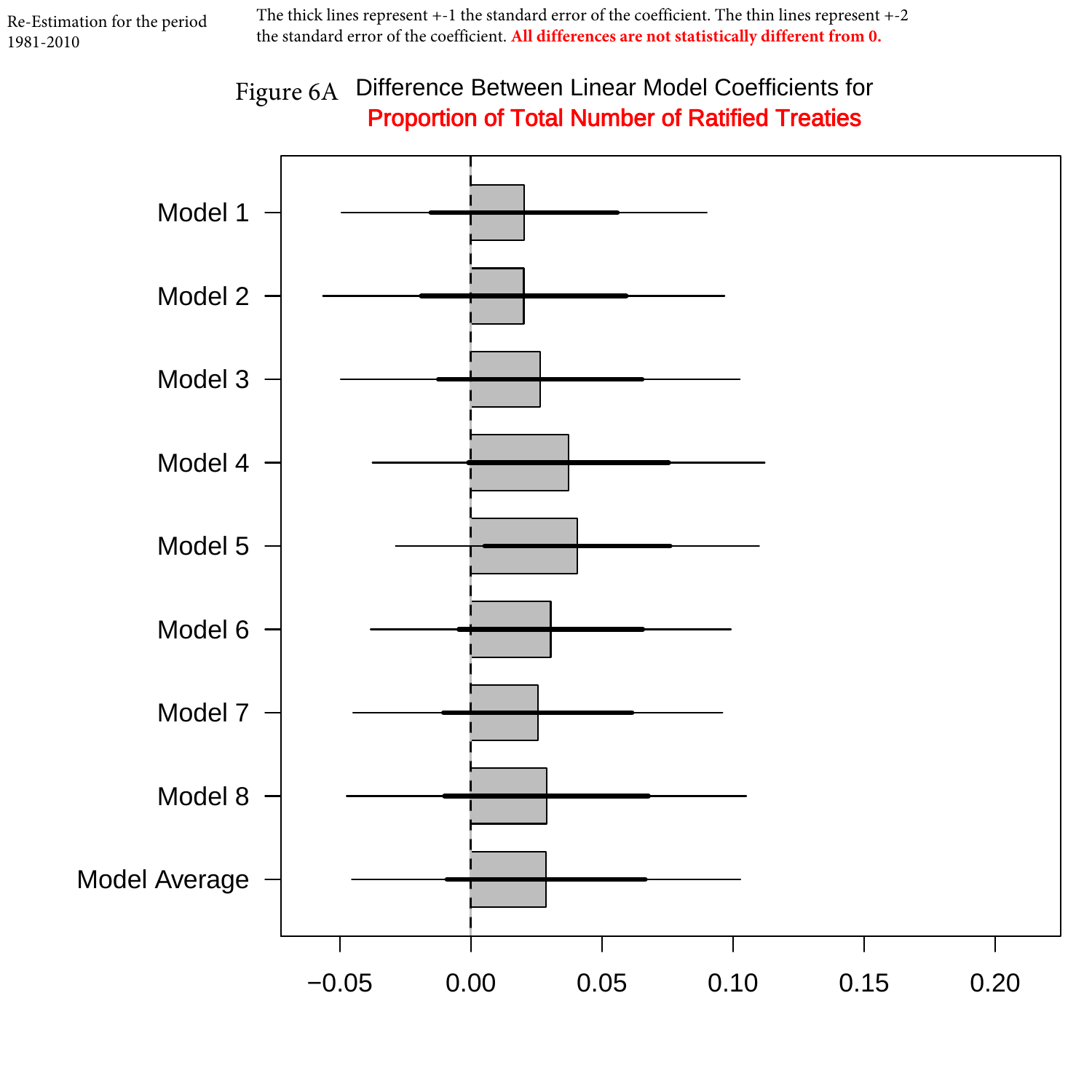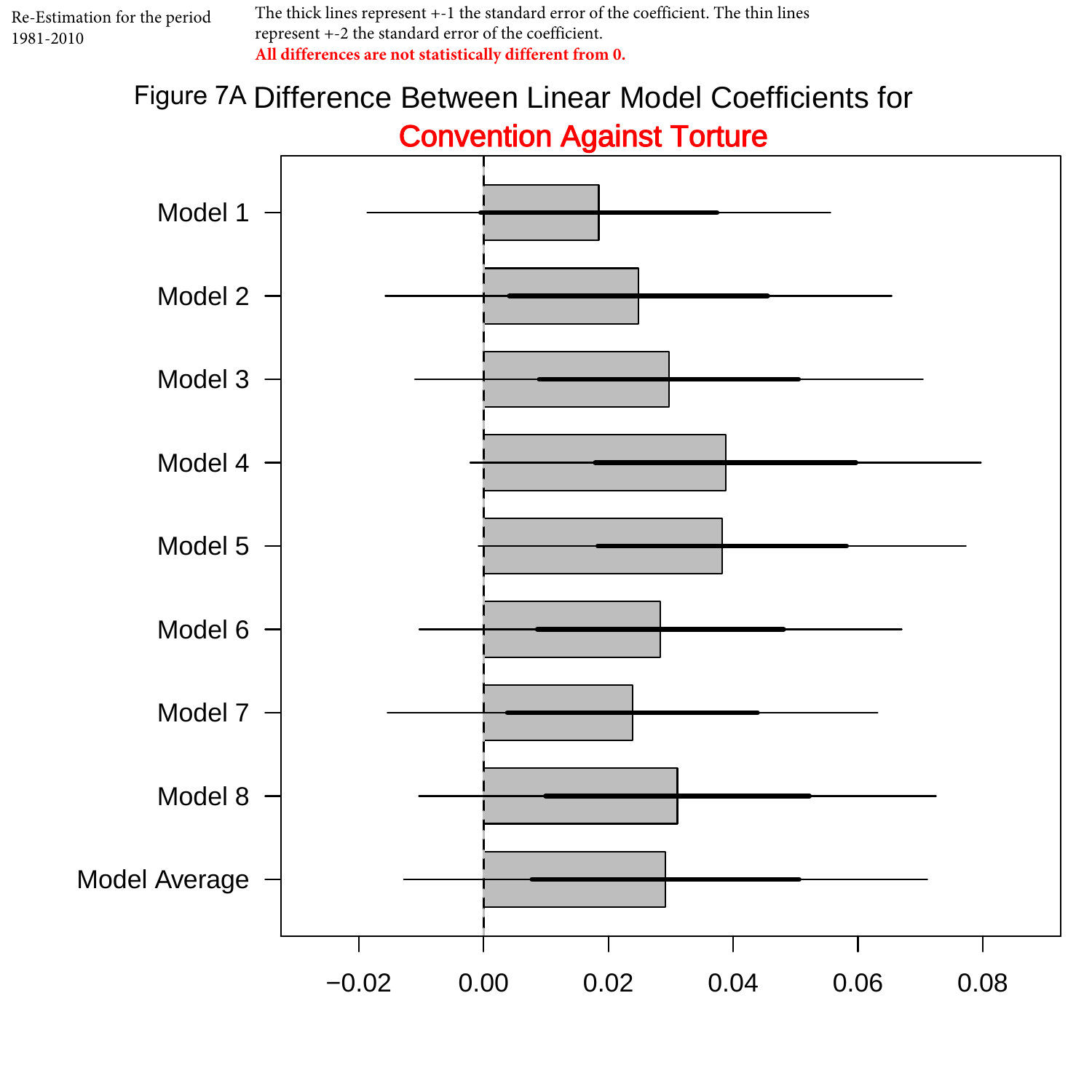The thick lines represent +-1 the standard error of the coefficient. The thin lines represent +-2 the standard error of the coefficient. **All differences are not statistically different from 0.** 

# Figure 7A Difference Between Linear Model Coefficients for Convention Against Torture

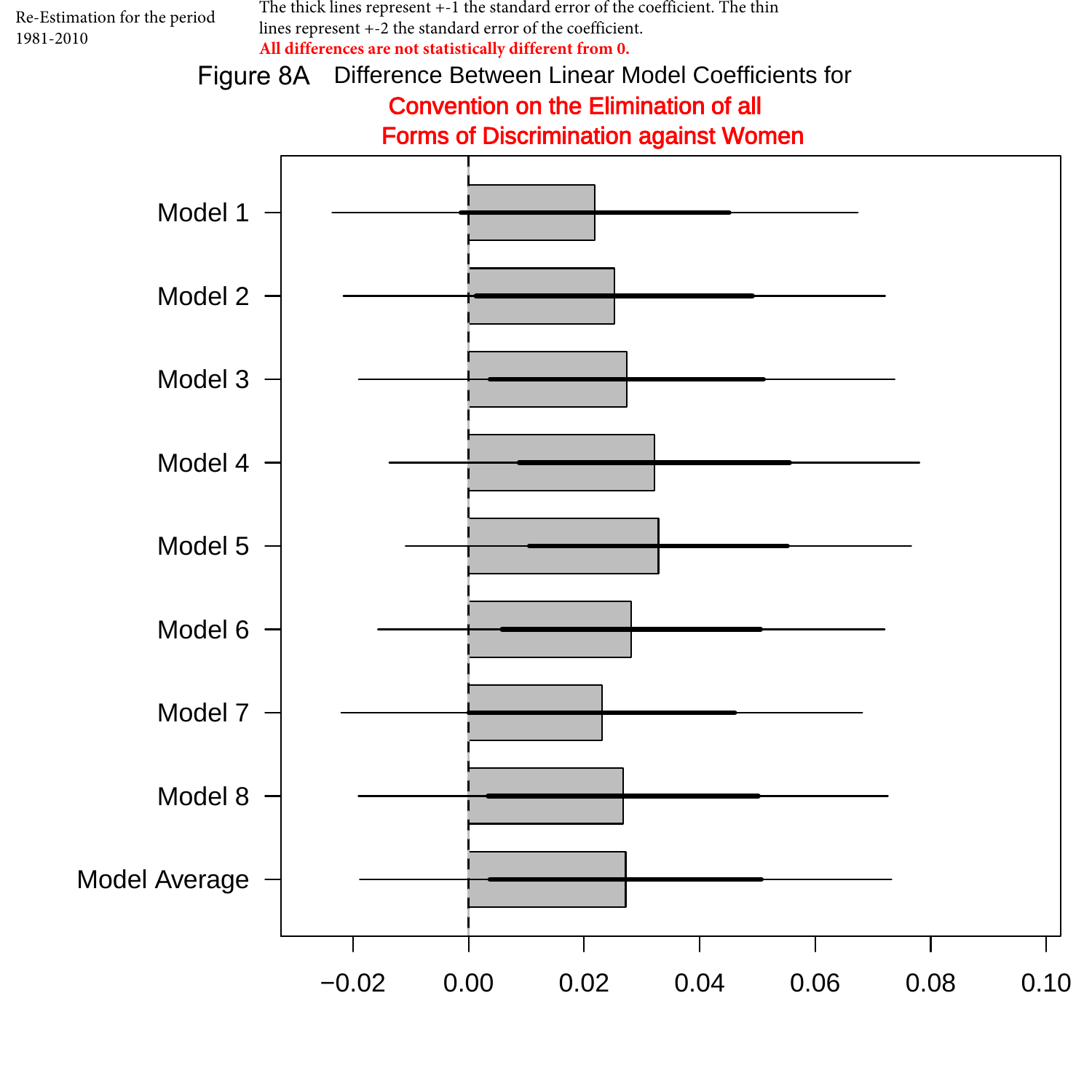

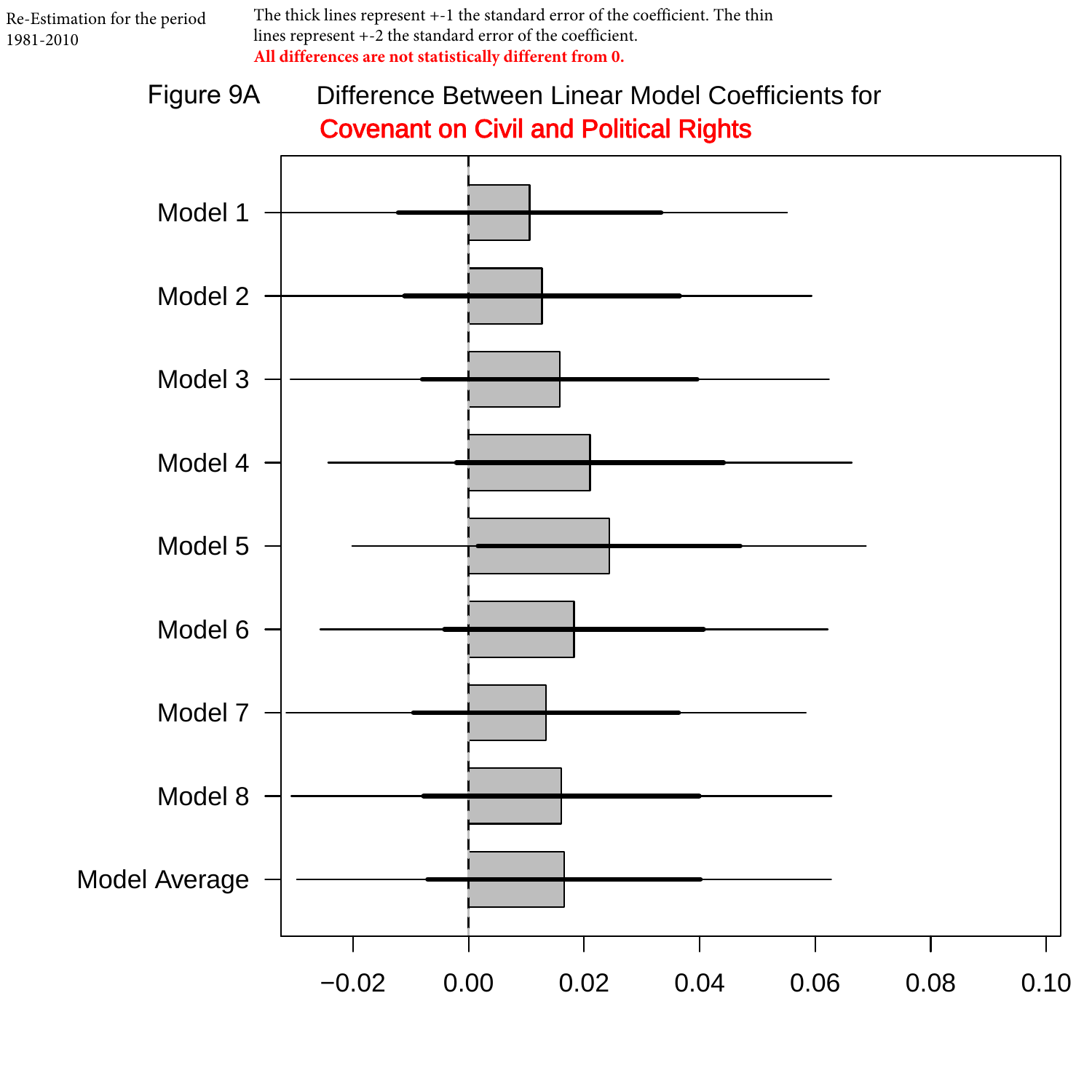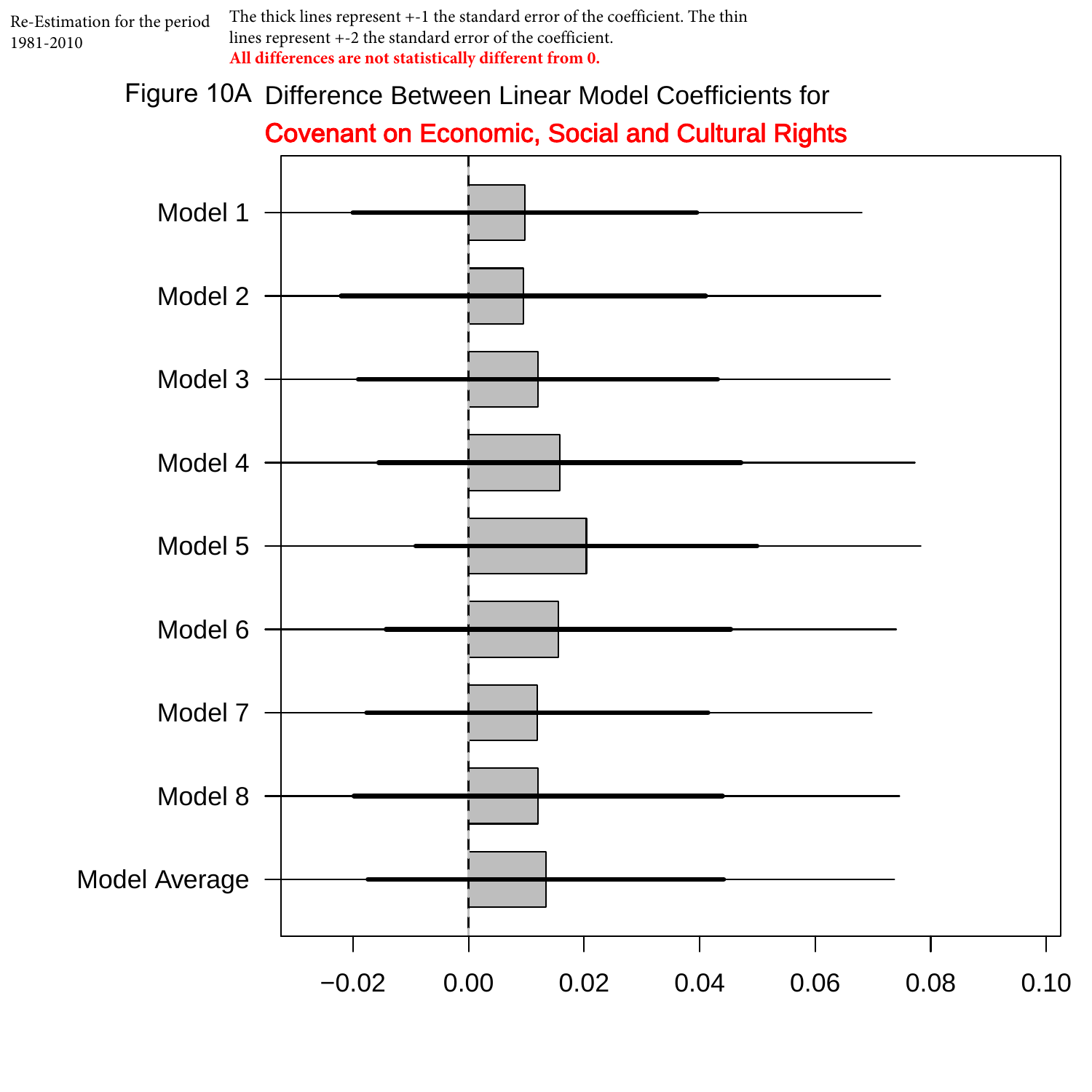

Figure 10A Difference Between Linear Model Coefficients for

### Covenant on Economic, Social and Cultural Rights

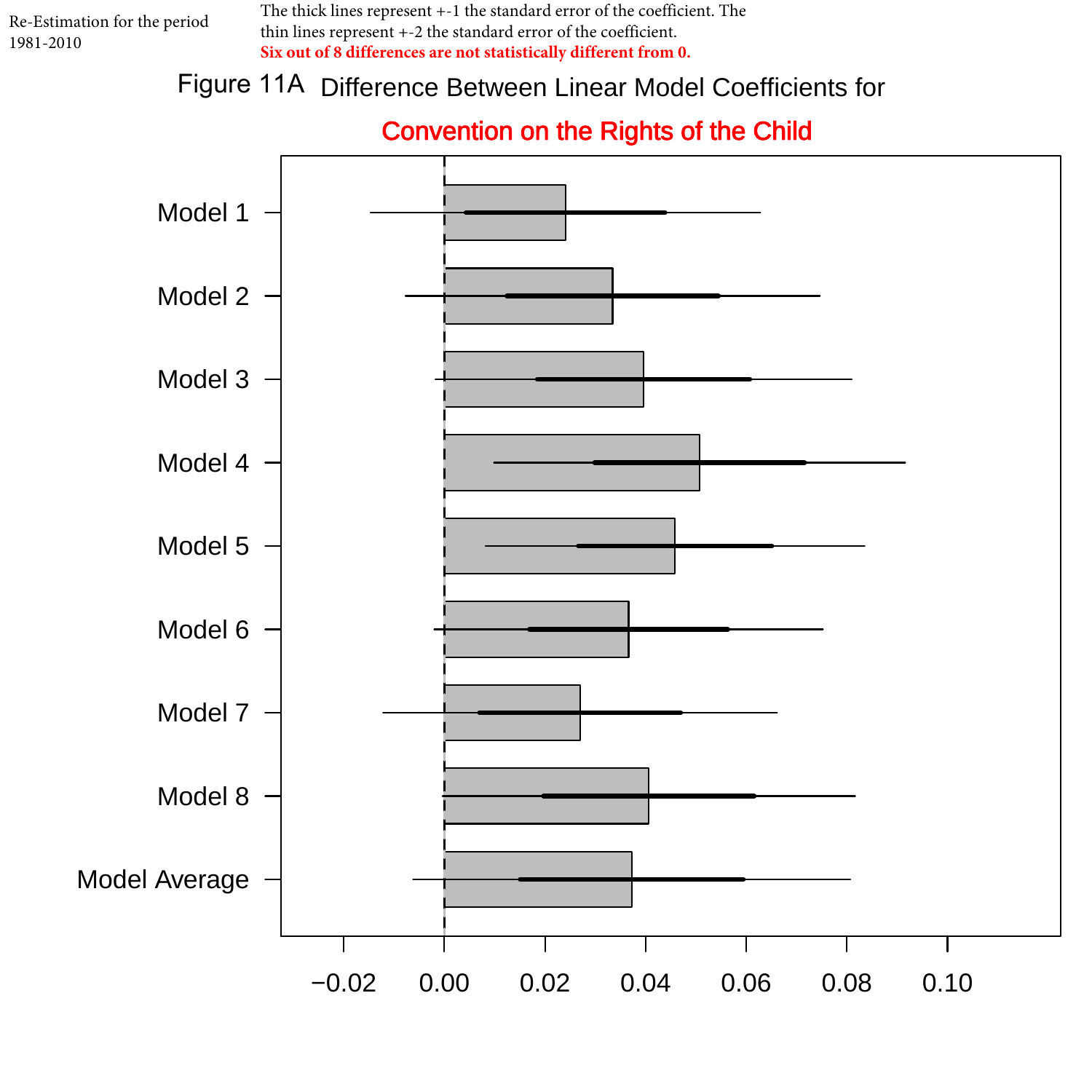The thick lines represent +-1 the standard error of the coefficient. The thin lines represent +-2 the standard error of the coefficient. **Six out of 8 differences are not statistically different from 0.** 

### Figure 11A Difference Between Linear Model Coefficients for